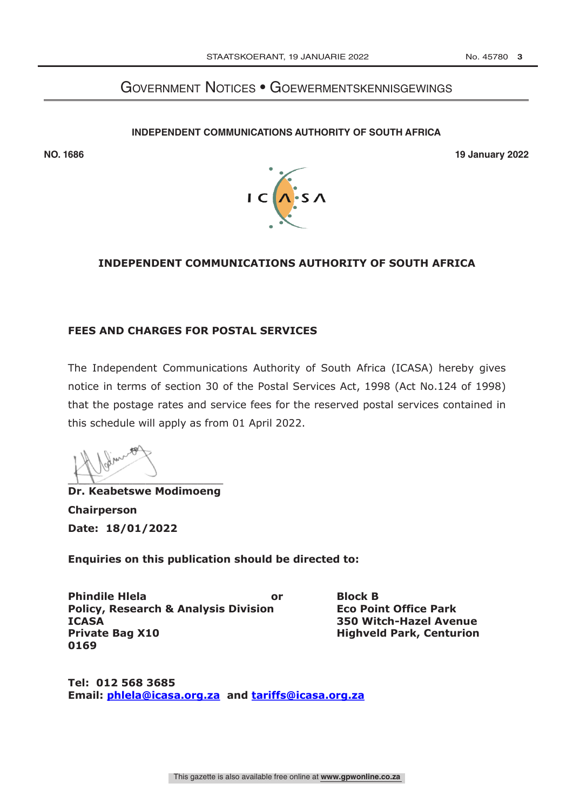# GOVERNMENT NOTICES • GOEWERMENTSKENNISGEWINGS

## **INDEPENDENT COMMUNICATIONS AUTHORITY OF SOUTH AFRICA NOTICE [ ] OF 2022**





## **INDEPENDENT COMMUNICATIONS AUTHORITY OF SOUTH AFRICA**

## **FEES AND CHARGES FOR POSTAL SERVICES**

The Independent Communications Authority of South Africa (ICASA) hereby gives notice in terms of section 30 of the Postal Services Act, 1998 (Act No.124 of 1998) that the postage rates and service fees for the reserved postal services contained in this schedule will apply as from 01 April 2022.

 $\Gamma$ 

**Dr. Keabetswe Modimoeng Chairperson Date: 18/01/2022**

**Enquiries on this publication should be directed to:**

**Phindile Hlela or Block B Policy, Research & Analysis Division Eco Point Office Park ICASA 350 Witch-Hazel Avenue Private Bag X10 Highveld Park, Centurion 0169**

**Tel: 012 568 3685 Email: phlela@icasa.org.za and tariffs@icasa.org.za**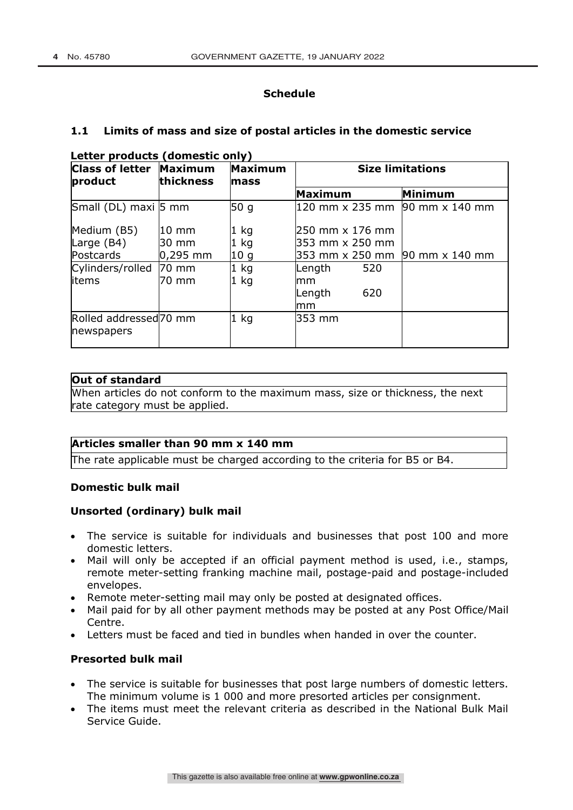## **Schedule**

#### **1.1 Limits of mass and size of postal articles in the domestic service**

| <b>Class of letter Maximum</b><br>product       | thickness       | <b>Maximum</b><br>mass | <b>Size limitations</b> |     |                                |
|-------------------------------------------------|-----------------|------------------------|-------------------------|-----|--------------------------------|
|                                                 |                 |                        | Maximum                 |     | Minimum                        |
| Small (DL) maxi 5 mm                            |                 | 50g                    |                         |     | 120 mm x 235 mm 90 mm x 140 mm |
| Medium (B5)                                     | 10 mm           | 1 kg                   | 250 mm x 176 mm         |     |                                |
| Large $(B4)$                                    | 30 mm           | 1 kg                   | 353 mm x 250 mm         |     |                                |
| Postcards                                       | $0,295$ mm      | 10 <sub>g</sub>        |                         |     | 353 mm x 250 mm 90 mm x 140 mm |
| Cylinders/rolled                                | $70 \text{ mm}$ | $1$ kg                 | Length                  | 520 |                                |
| litems                                          | 70 mm           | 1 kg                   | mm                      |     |                                |
|                                                 |                 |                        | Length                  | 620 |                                |
|                                                 |                 |                        | mm                      |     |                                |
| Rolled addressed <sub>70</sub> mm<br>newspapers |                 | $1$ kg                 | 353 mm                  |     |                                |

#### **Letter products (domestic only)**

### **Out of standard**

When articles do not conform to the maximum mass, size or thickness, the next rate category must be applied.

#### **Articles smaller than 90 mm x 140 mm**

The rate applicable must be charged according to the criteria for B5 or B4.

#### **Domestic bulk mail**

## **Unsorted (ordinary) bulk mail**

- The service is suitable for individuals and businesses that post 100 and more domestic letters.
- Mail will only be accepted if an official payment method is used, i.e., stamps, remote meter-setting franking machine mail, postage-paid and postage-included envelopes.
- Remote meter-setting mail may only be posted at designated offices.
- Mail paid for by all other payment methods may be posted at any Post Office/Mail Centre.
- Letters must be faced and tied in bundles when handed in over the counter.

#### **Presorted bulk mail**

- The service is suitable for businesses that post large numbers of domestic letters. The minimum volume is 1 000 and more presorted articles per consignment.
- The items must meet the relevant criteria as described in the National Bulk Mail Service Guide.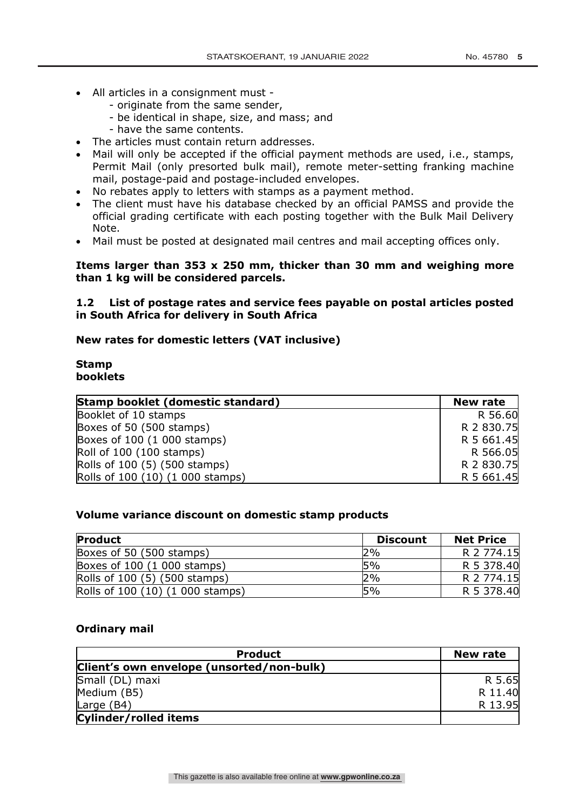- All articles in a consignment must
	- originate from the same sender,
	- be identical in shape, size, and mass; and
	- have the same contents.
- The articles must contain return addresses.
- Mail will only be accepted if the official payment methods are used, i.e., stamps, Permit Mail (only presorted bulk mail), remote meter-setting franking machine mail, postage-paid and postage-included envelopes.
- No rebates apply to letters with stamps as a payment method.
- The client must have his database checked by an official PAMSS and provide the official grading certificate with each posting together with the Bulk Mail Delivery Note.
- Mail must be posted at designated mail centres and mail accepting offices only.

### **Items larger than 353 x 250 mm, thicker than 30 mm and weighing more than 1 kg will be considered parcels.**

## **1.2 List of postage rates and service fees payable on postal articles posted in South Africa for delivery in South Africa**

### **New rates for domestic letters (VAT inclusive)**

#### **Stamp booklets**

| Stamp booklet (domestic standard) | <b>New rate</b> |
|-----------------------------------|-----------------|
| Booklet of 10 stamps              | R 56.60         |
| Boxes of 50 (500 stamps)          | R 2 830.75      |
| Boxes of 100 (1 000 stamps)       | R 5 661.45      |
| Roll of 100 (100 stamps)          | R 566.05        |
| Rolls of 100 (5) (500 stamps)     | R 2 830.75      |
| Rolls of 100 (10) (1 000 stamps)  | R 5 661.45      |

#### **Volume variance discount on domestic stamp products**

| <b>Product</b>                   | <b>Discount</b> | <b>Net Price</b> |
|----------------------------------|-----------------|------------------|
| Boxes of 50 (500 stamps)         | 2%              | R 2 774.15       |
| Boxes of 100 (1 000 stamps)      | 5%              | R 5 378.40       |
| Rolls of 100 (5) (500 stamps)    | 2%              | R 2 774.15       |
| Rolls of 100 (10) (1 000 stamps) | 5%              | R 5 378.40       |

#### **Ordinary mail**

| <b>Product</b>                            | <b>New rate</b> |
|-------------------------------------------|-----------------|
| Client's own envelope (unsorted/non-bulk) |                 |
| Small (DL) maxi                           | R 5.65          |
| Medium (B5)                               | R 11.40         |
| Large $(B4)$                              | R 13.95         |
| Cylinder/rolled items                     |                 |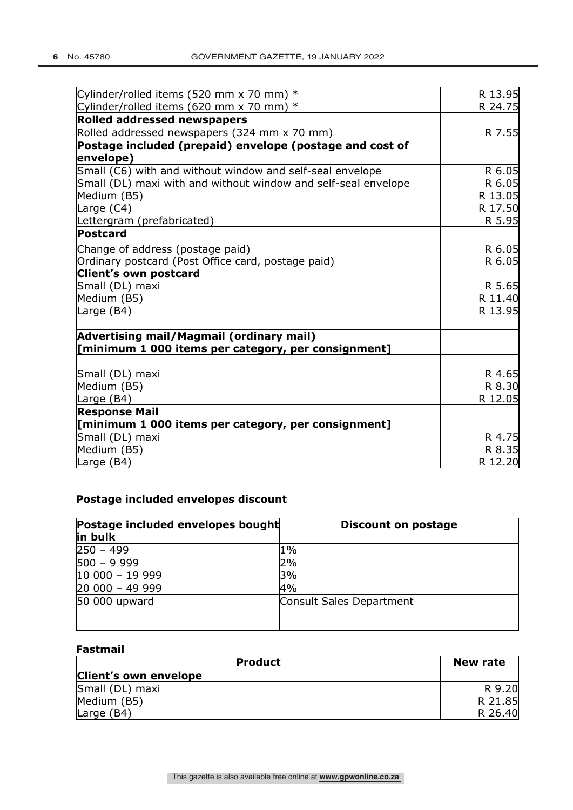| Cylinder/rolled items (520 mm x 70 mm) $*$                     | R 13.95 |
|----------------------------------------------------------------|---------|
| Cylinder/rolled items (620 mm x 70 mm) $*$                     | R 24.75 |
| <b>Rolled addressed newspapers</b>                             |         |
| Rolled addressed newspapers (324 mm x 70 mm)                   | R 7.55  |
| Postage included (prepaid) envelope (postage and cost of       |         |
| envelope)                                                      |         |
| Small (C6) with and without window and self-seal envelope      | R 6.05  |
| Small (DL) maxi with and without window and self-seal envelope | R 6.05  |
| Medium (B5)                                                    | R 13.05 |
| Large (C4)                                                     | R 17.50 |
| Lettergram (prefabricated)                                     | R 5.95  |
| Postcard                                                       |         |
| Change of address (postage paid)                               | R 6.05  |
| Ordinary postcard (Post Office card, postage paid)             | R 6.05  |
| Client's own postcard                                          |         |
| Small (DL) maxi                                                | R 5.65  |
| Medium (B5)                                                    | R 11.40 |
| Large (B4)                                                     | R 13.95 |
| Advertising mail/Magmail (ordinary mail)                       |         |
| [minimum 1 000 items per category, per consignment]            |         |
| Small (DL) maxi                                                | R 4.65  |
| Medium (B5)                                                    | R 8.30  |
| Large (B4)                                                     | R 12.05 |
| <b>Response Mail</b>                                           |         |
| [minimum 1 000 items per category, per consignment]            |         |
| Small (DL) maxi                                                | R 4.75  |
| Medium (B5)                                                    | R 8.35  |
| Large (B4)                                                     | R 12.20 |

## **Postage included envelopes discount**

| Postage included envelopes bought<br>in bulk | <b>Discount on postage</b> |
|----------------------------------------------|----------------------------|
| $250 - 499$                                  | $1\%$                      |
| $500 - 9999$                                 | 2%                         |
| $10000 - 19999$                              | 3%                         |
| $20000 - 49999$                              | 4%                         |
| 50 000 upward                                | Consult Sales Department   |

## **Fastmail**

| <b>Product</b>        | New rate |
|-----------------------|----------|
| Client's own envelope |          |
| Small (DL) maxi       | R 9.20   |
| Medium (B5)           | R 21.85  |
| Large $(B4)$          | R 26.40  |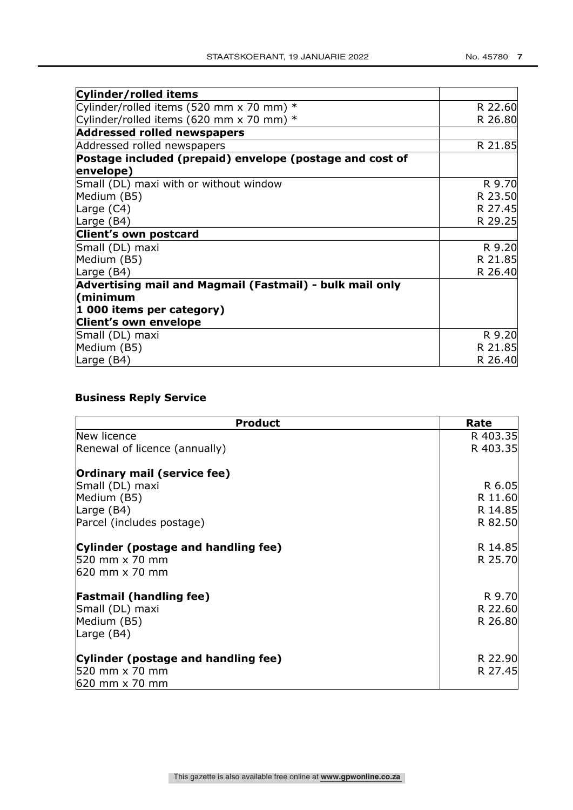| Cylinder/rolled items                                                 |         |
|-----------------------------------------------------------------------|---------|
| Cylinder/rolled items (520 mm x 70 mm) $*$                            | R 22.60 |
| Cylinder/rolled items (620 mm x 70 mm) $*$                            | R 26.80 |
| <b>Addressed rolled newspapers</b>                                    |         |
| Addressed rolled newspapers                                           | R 21.85 |
| Postage included (prepaid) envelope (postage and cost of<br>envelope) |         |
| Small (DL) maxi with or without window                                | R 9.70  |
| Medium (B5)                                                           | R 23.50 |
| Large (C4)                                                            | R 27.45 |
| Large (B4)                                                            | R 29.25 |
| Client's own postcard                                                 |         |
| Small (DL) maxi                                                       | R 9.20  |
| Medium (B5)                                                           | R 21.85 |
| Large (B4)                                                            | R 26.40 |
| Advertising mail and Magmail (Fastmail) - bulk mail only              |         |
| minimum)                                                              |         |
| 1 000 items per category)                                             |         |
| <b>Client's own envelope</b>                                          |         |
| Small (DL) maxi                                                       | R 9.20  |
| Medium (B5)                                                           | R 21.85 |
| Large (B4)                                                            | R 26.40 |

## **Business Reply Service**

| <b>Product</b>                      | Rate     |
|-------------------------------------|----------|
| New licence                         | R 403.35 |
| Renewal of licence (annually)       | R 403.35 |
| Ordinary mail (service fee)         |          |
| Small (DL) maxi                     | R 6.05   |
| Medium (B5)                         | R 11.60  |
| Large (B4)                          | R 14.85  |
| Parcel (includes postage)           | R 82.50  |
| Cylinder (postage and handling fee) | R 14.85  |
| 520 mm x 70 mm                      | R 25.70  |
| 620 mm x 70 mm                      |          |
| <b>Fastmail (handling fee)</b>      | R 9.70   |
| Small (DL) maxi                     | R 22.60  |
| Medium (B5)                         | R 26.80  |
| Large (B4)                          |          |
| Cylinder (postage and handling fee) | R 22.90  |
| 520 mm x 70 mm                      | R 27.45  |
| 620 mm x 70 mm                      |          |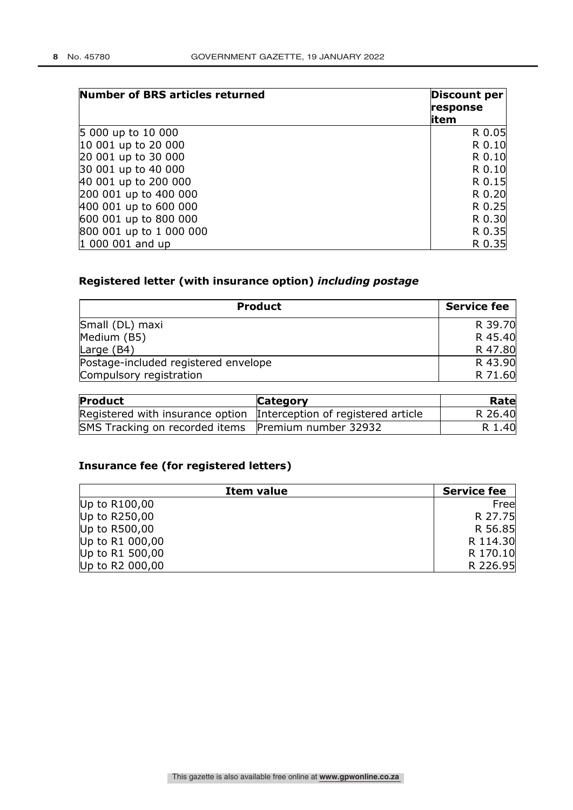| Number of BRS articles returned | <b>Discount per</b><br>response<br>litem |
|---------------------------------|------------------------------------------|
| 5 000 up to 10 000              | R 0.05                                   |
| 10 001 up to 20 000             | R 0.10                                   |
| 20 001 up to 30 000             | R 0.10                                   |
| 30 001 up to 40 000             | R 0.10                                   |
| 40 001 up to 200 000            | R 0.15                                   |
| 200 001 up to 400 000           | R 0.20                                   |
| 400 001 up to 600 000           | R 0.25                                   |
| 600 001 up to 800 000           | R 0.30                                   |
| 800 001 up to 1 000 000         | R 0.35                                   |
| $ 1000001$ and up               | R 0.35                                   |

## **Registered letter (with insurance option)** *including postage*

| <b>Product</b>                       | <b>Service fee</b> |
|--------------------------------------|--------------------|
| Small (DL) maxi                      | R 39.70            |
| Medium (B5)                          | R 45.40            |
| Large (B4)                           | R 47.80            |
| Postage-included registered envelope | R 43.90            |
| Compulsory registration              | R 71.60            |

| Product                                                             | <b>Category</b> | Rate    |
|---------------------------------------------------------------------|-----------------|---------|
| Registered with insurance option Interception of registered article |                 | R 26.40 |
| SMS Tracking on recorded items Premium number 32932                 |                 | R 1.40  |

## **Insurance fee (for registered letters)**

|                 | Item value | <b>Service fee</b> |
|-----------------|------------|--------------------|
| Up to $R100,00$ |            | Free               |
| Up to $R250,00$ |            | R 27.75            |
| Up to R500,00   |            | R 56.85            |
| Up to R1 000,00 |            | R 114.30           |
| Up to R1 500,00 |            | R 170.10           |
| Up to R2 000,00 |            | R 226.95           |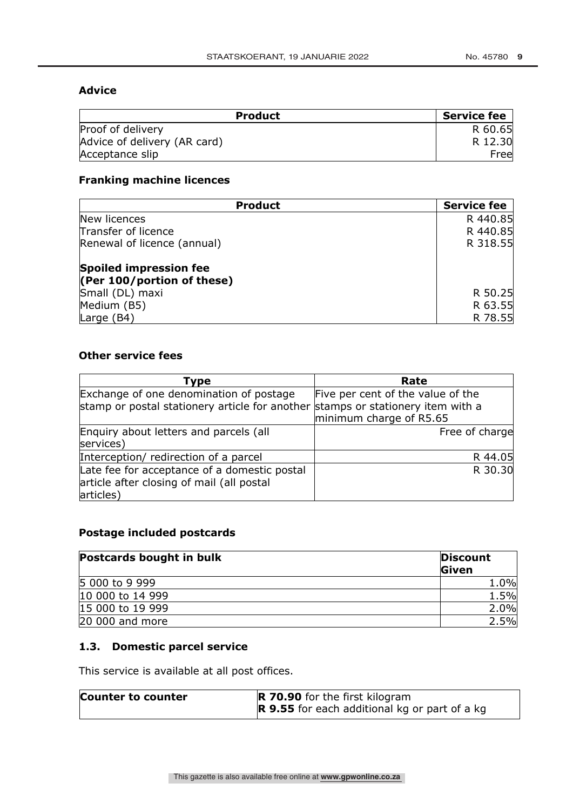## **Advice**

| <b>Product</b>               | <b>Service fee</b> |
|------------------------------|--------------------|
| Proof of delivery            | R 60.65            |
| Advice of delivery (AR card) | R 12.30            |
| Acceptance slip              | Free               |

## **Franking machine licences**

| <b>Product</b>                | <b>Service fee</b> |
|-------------------------------|--------------------|
| New licences                  | R 440.85           |
| Transfer of licence           | R 440.85           |
| Renewal of licence (annual)   | R 318.55           |
| Spoiled impression fee        |                    |
| (Per $100$ /portion of these) |                    |
| Small (DL) maxi               | R 50.25            |
| Medium (B5)                   | R 63.55            |
| Large (B4)                    | R 78.55            |

## **Other service fees**

| Type                                                                            | Rate                              |
|---------------------------------------------------------------------------------|-----------------------------------|
| Exchange of one denomination of postage                                         | Five per cent of the value of the |
| stamp or postal stationery article for another stamps or stationery item with a |                                   |
|                                                                                 | minimum charge of R5.65           |
| Enquiry about letters and parcels (all                                          | Free of charge                    |
| services)                                                                       |                                   |
| Interception/ redirection of a parcel                                           | R 44.05                           |
| Late fee for acceptance of a domestic postal                                    | R 30.30                           |
| article after closing of mail (all postal                                       |                                   |
| articles)                                                                       |                                   |

## **Postage included postcards**

| <b>Postcards bought in bulk</b> | <b>Discount</b><br>Given |
|---------------------------------|--------------------------|
| 5 000 to 9 999                  | 1.0%                     |
| 10 000 to 14 999                | 1.5%                     |
| 15 000 to 19 999                | 2.0%                     |
| 20 000 and more                 | 2.5%                     |

## **1.3. Domestic parcel service**

This service is available at all post offices.

| Counter to counter | <b>R 70.90</b> for the first kilogram                |  |  |
|--------------------|------------------------------------------------------|--|--|
|                    | <b>R</b> 9.55 for each additional kg or part of a kg |  |  |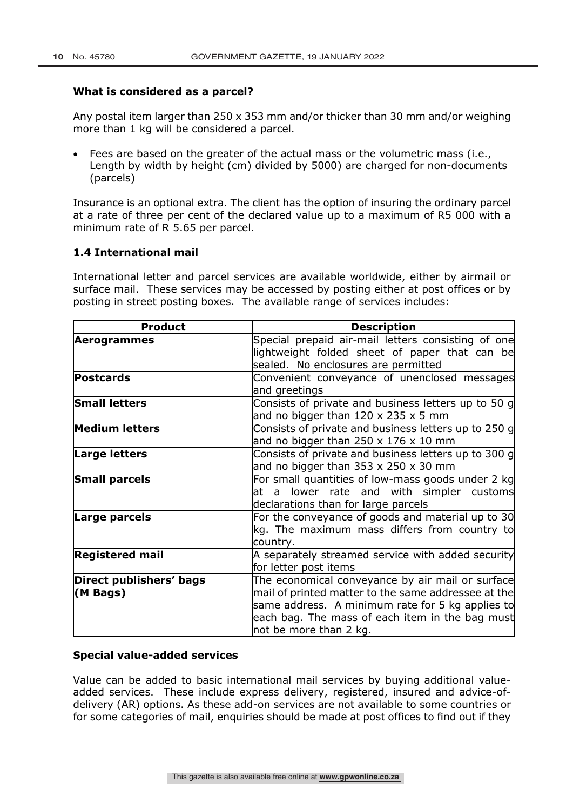#### **What is considered as a parcel?**

Any postal item larger than 250 x 353 mm and/or thicker than 30 mm and/or weighing more than 1 kg will be considered a parcel.

• Fees are based on the greater of the actual mass or the volumetric mass (i.e., Length by width by height (cm) divided by 5000) are charged for non-documents (parcels)

Insurance is an optional extra. The client has the option of insuring the ordinary parcel at a rate of three per cent of the declared value up to a maximum of R5 000 with a minimum rate of R 5.65 per parcel.

### **1.4 International mail**

International letter and parcel services are available worldwide, either by airmail or surface mail. These services may be accessed by posting either at post offices or by posting in street posting boxes. The available range of services includes:

| <b>Product</b>                      | <b>Description</b>                                                                                                                                                                                                                       |  |  |  |
|-------------------------------------|------------------------------------------------------------------------------------------------------------------------------------------------------------------------------------------------------------------------------------------|--|--|--|
| Aerogrammes                         | Special prepaid air-mail letters consisting of one<br>lightweight folded sheet of paper that can be<br>sealed. No enclosures are permitted                                                                                               |  |  |  |
| <b>Postcards</b>                    | Convenient conveyance of unenclosed messages<br>and greetings                                                                                                                                                                            |  |  |  |
| <b>Small letters</b>                | Consists of private and business letters up to 50 g<br>and no bigger than $120 \times 235 \times 5$ mm                                                                                                                                   |  |  |  |
| <b>Medium letters</b>               | Consists of private and business letters up to 250 g<br>and no bigger than $250 \times 176 \times 10$ mm                                                                                                                                 |  |  |  |
| <b>Large letters</b>                | Consists of private and business letters up to 300 g<br>and no bigger than $353 \times 250 \times 30$ mm                                                                                                                                 |  |  |  |
| <b>Small parcels</b>                | For small quantities of low-mass goods under 2 kg<br>at a lower rate and with simpler customs<br>declarations than for large parcels                                                                                                     |  |  |  |
| Large parcels                       | For the conveyance of goods and material up to 30<br>kg. The maximum mass differs from country to<br>country.                                                                                                                            |  |  |  |
| <b>Registered mail</b>              | A separately streamed service with added security<br>for letter post items                                                                                                                                                               |  |  |  |
| Direct publishers' bags<br>(M Bags) | The economical conveyance by air mail or surface<br>mail of printed matter to the same addressee at the<br>same address. A minimum rate for 5 kg applies to<br>each bag. The mass of each item in the bag must<br>not be more than 2 kg. |  |  |  |

#### **Special value-added services**

Value can be added to basic international mail services by buying additional valueadded services. These include express delivery, registered, insured and advice-ofdelivery (AR) options. As these add-on services are not available to some countries or for some categories of mail, enquiries should be made at post offices to find out if they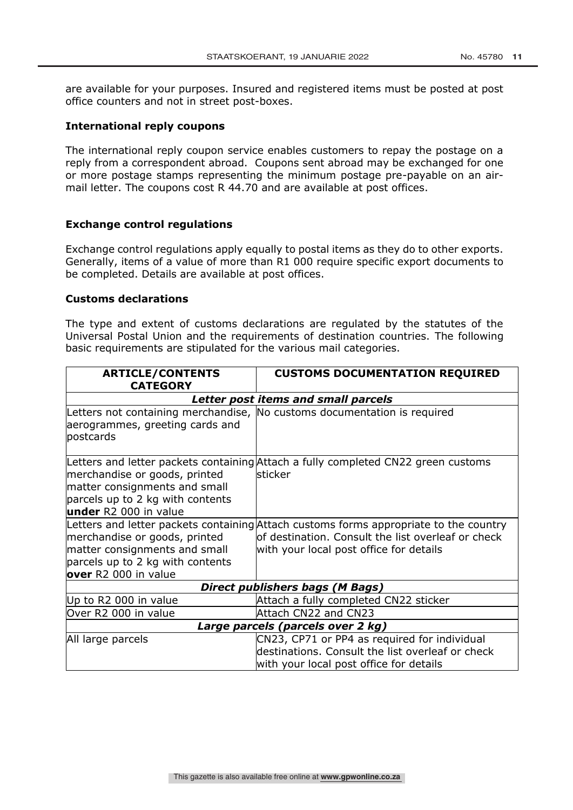are available for your purposes. Insured and registered items must be posted at post office counters and not in street post-boxes.

#### **International reply coupons**

The international reply coupon service enables customers to repay the postage on a reply from a correspondent abroad. Coupons sent abroad may be exchanged for one or more postage stamps representing the minimum postage pre-payable on an airmail letter. The coupons cost R 44.70 and are available at post offices.

#### **Exchange control regulations**

Exchange control regulations apply equally to postal items as they do to other exports. Generally, items of a value of more than R1 000 require specific export documents to be completed. Details are available at post offices.

#### **Customs declarations**

The type and extent of customs declarations are regulated by the statutes of the Universal Postal Union and the requirements of destination countries. The following basic requirements are stipulated for the various mail categories.

| <b>ARTICLE/CONTENTS</b><br><b>CATEGORY</b>                                                                                  | <b>CUSTOMS DOCUMENTATION REQUIRED</b>                                                                                                                                                  |  |  |
|-----------------------------------------------------------------------------------------------------------------------------|----------------------------------------------------------------------------------------------------------------------------------------------------------------------------------------|--|--|
|                                                                                                                             | Letter post items and small parcels                                                                                                                                                    |  |  |
| aerogrammes, greeting cards and<br>postcards                                                                                | Letters not containing merchandise, No customs documentation is required                                                                                                               |  |  |
| merchandise or goods, printed<br>matter consignments and small<br>parcels up to 2 kg with contents<br>under R2 000 in value | Letters and letter packets containing Attach a fully completed CN22 green customs<br><b>lsticker</b>                                                                                   |  |  |
| merchandise or goods, printed<br>matter consignments and small<br>parcels up to 2 kg with contents<br>over R2 000 in value  | Letters and letter packets containing Attach customs forms appropriate to the country<br>of destination. Consult the list overleaf or check<br>with your local post office for details |  |  |
|                                                                                                                             | <b>Direct publishers bags (M Bags)</b>                                                                                                                                                 |  |  |
| Up to R2 000 in value                                                                                                       | Attach a fully completed CN22 sticker                                                                                                                                                  |  |  |
| Over R2 000 in value                                                                                                        | Attach CN22 and CN23                                                                                                                                                                   |  |  |
| Large parcels (parcels over 2 kg)                                                                                           |                                                                                                                                                                                        |  |  |
| All large parcels                                                                                                           | CN23, CP71 or PP4 as required for individual<br>destinations. Consult the list overleaf or check<br>with your local post office for details                                            |  |  |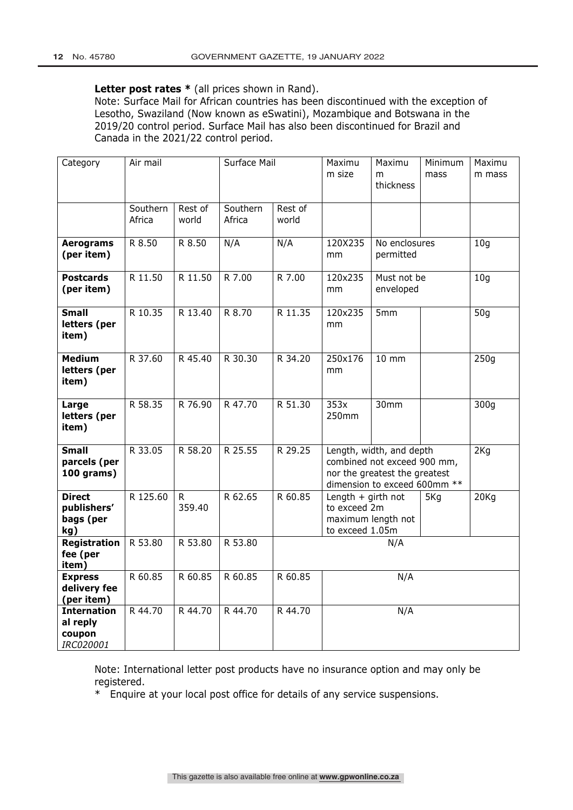#### Letter post rates  $*$  (all prices shown in Rand).

Note: Surface Mail for African countries has been discontinued with the exception of Lesotho, Swaziland (Now known as eSwatini), Mozambique and Botswana in the 2019/20 control period. Surface Mail has also been discontinued for Brazil and Canada in the 2021/22 control period.

| Category                                              | Air mail           |                       | Surface Mail       |                  | Maximu<br>m size                                                                                                         | Maximu<br>m<br>thickness   | Minimum<br>mass | Maximu<br>m mass |
|-------------------------------------------------------|--------------------|-----------------------|--------------------|------------------|--------------------------------------------------------------------------------------------------------------------------|----------------------------|-----------------|------------------|
|                                                       | Southern<br>Africa | Rest of<br>world      | Southern<br>Africa | Rest of<br>world |                                                                                                                          |                            |                 |                  |
| <b>Aerograms</b><br>(per item)                        | R 8.50             | R 8.50                | N/A                | N/A              | 120X235<br>mm                                                                                                            | No enclosures<br>permitted |                 | 10 <sub>g</sub>  |
| <b>Postcards</b><br>(per item)                        | R 11.50            | R 11.50               | R 7.00             | R 7.00           | 120x235<br>mm                                                                                                            | Must not be<br>enveloped   |                 | 10 <sub>g</sub>  |
| <b>Small</b><br>letters (per<br>item)                 | R 10.35            | R 13.40               | R 8.70             | R 11.35          | 120x235<br>mm                                                                                                            | 5mm                        |                 | 50g              |
| <b>Medium</b><br>letters (per<br>item)                | R 37.60            | R 45.40               | R 30.30            | R 34.20          | 250x176<br>mm                                                                                                            | $10 \, \text{mm}$          |                 | 250q             |
| Large<br>letters (per<br>item)                        | R 58.35            | R 76.90               | R 47.70            | R 51.30          | 353x<br>250mm                                                                                                            | 30mm                       |                 | 300g             |
| <b>Small</b><br>parcels (per<br>100 grams)            | R 33.05            | R 58.20               | R 25.55            | R 29.25          | Length, width, and depth<br>combined not exceed 900 mm,<br>nor the greatest the greatest<br>dimension to exceed 600mm ** |                            | 2Kg             |                  |
| <b>Direct</b><br>publishers'<br>bags (per<br>kg)      | R 125.60           | $\mathsf R$<br>359.40 | R 62.65            | R 60.85          | Length $+$ girth not<br>5Kg<br>to exceed 2m<br>maximum length not<br>to exceed 1.05m                                     |                            | 20Kg            |                  |
| <b>Registration</b><br>fee (per<br>item)              | R 53.80            | R 53.80               | R 53.80            | N/A              |                                                                                                                          |                            |                 |                  |
| <b>Express</b><br>delivery fee<br>(per item)          | R 60.85            | R 60.85               | R 60.85            | R 60.85<br>N/A   |                                                                                                                          |                            |                 |                  |
| <b>Internation</b><br>al reply<br>coupon<br>IRC020001 | R 44.70            | R 44.70               | R 44.70            | R 44.70<br>N/A   |                                                                                                                          |                            |                 |                  |

Note: International letter post products have no insurance option and may only be registered.

\* Enquire at your local post office for details of any service suspensions.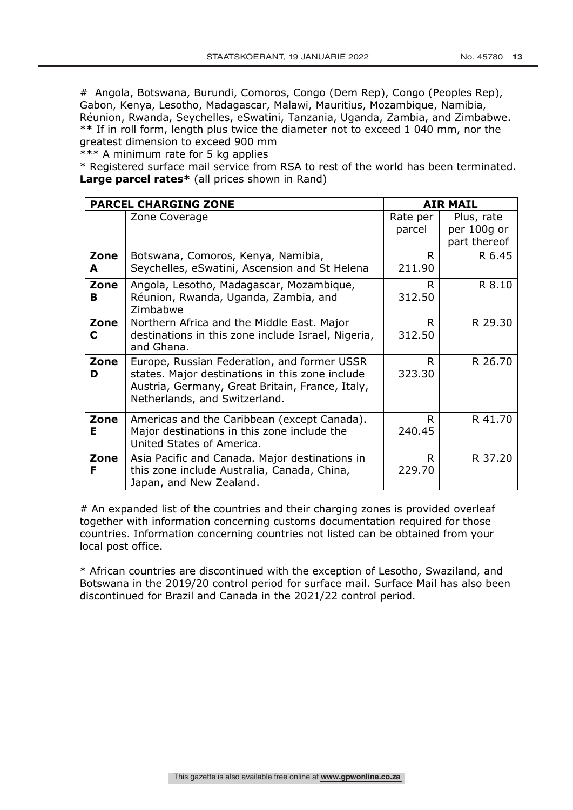# Angola, Botswana, Burundi, Comoros, Congo (Dem Rep), Congo (Peoples Rep), Gabon, Kenya, Lesotho, Madagascar, Malawi, Mauritius, Mozambique, Namibia, Réunion, Rwanda, Seychelles, eSwatini, Tanzania, Uganda, Zambia, and Zimbabwe. \*\* If in roll form, length plus twice the diameter not to exceed 1 040 mm, nor the greatest dimension to exceed 900 mm

\*\*\* A minimum rate for 5 kg applies

\* Registered surface mail service from RSA to rest of the world has been terminated. **Large parcel rates\*** (all prices shown in Rand)

|      | <b>PARCEL CHARGING ZONE</b>                                      |          | <b>AIR MAIL</b> |
|------|------------------------------------------------------------------|----------|-----------------|
|      | Zone Coverage                                                    | Rate per | Plus, rate      |
|      |                                                                  | parcel   | per 100g or     |
|      |                                                                  |          | part thereof    |
| Zone | Botswana, Comoros, Kenya, Namibia,                               | R.       | R 6.45          |
| A    | Seychelles, eSwatini, Ascension and St Helena                    | 211.90   |                 |
| Zone | Angola, Lesotho, Madagascar, Mozambique,                         | R.       | R 8.10          |
| в    | Réunion, Rwanda, Uganda, Zambia, and<br>Zimbabwe                 | 312.50   |                 |
| Zone | Northern Africa and the Middle East. Major                       | R.       | R 29.30         |
| C    | destinations in this zone include Israel, Nigeria,<br>and Ghana. | 312.50   |                 |
| Zone | Europe, Russian Federation, and former USSR                      | R.       | R 26.70         |
| D    | states. Major destinations in this zone include                  | 323.30   |                 |
|      | Austria, Germany, Great Britain, France, Italy,                  |          |                 |
|      | Netherlands, and Switzerland.                                    |          |                 |
| Zone | Americas and the Caribbean (except Canada).                      | R.       | R 41.70         |
| Е    | Major destinations in this zone include the                      | 240.45   |                 |
|      | United States of America.                                        |          |                 |
| Zone | Asia Pacific and Canada. Major destinations in                   | R.       | R 37.20         |
| F    | this zone include Australia, Canada, China,                      | 229.70   |                 |
|      | Japan, and New Zealand.                                          |          |                 |

# An expanded list of the countries and their charging zones is provided overleaf together with information concerning customs documentation required for those countries. Information concerning countries not listed can be obtained from your local post office.

\* African countries are discontinued with the exception of Lesotho, Swaziland, and Botswana in the 2019/20 control period for surface mail. Surface Mail has also been discontinued for Brazil and Canada in the 2021/22 control period.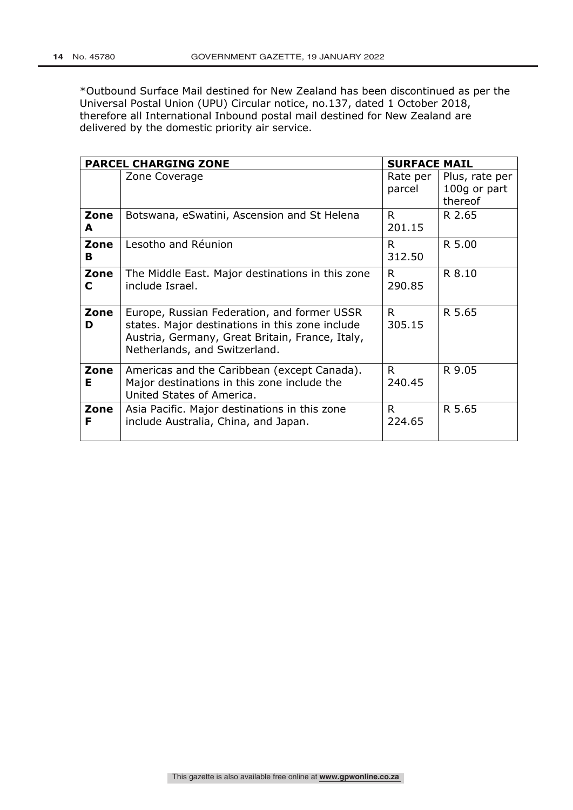\*Outbound Surface Mail destined for New Zealand has been discontinued as per the Universal Postal Union (UPU) Circular notice, no.137, dated 1 October 2018, therefore all International Inbound postal mail destined for New Zealand are delivered by the domestic priority air service.

|           | <b>PARCEL CHARGING ZONE</b>                                                                                                                                                        | <b>SURFACE MAIL</b> |                                           |
|-----------|------------------------------------------------------------------------------------------------------------------------------------------------------------------------------------|---------------------|-------------------------------------------|
|           | Zone Coverage                                                                                                                                                                      | Rate per<br>parcel  | Plus, rate per<br>100g or part<br>thereof |
| Zone<br>A | Botswana, eSwatini, Ascension and St Helena                                                                                                                                        | R.<br>201.15        | R 2.65                                    |
| Zone<br>в | Lesotho and Réunion                                                                                                                                                                | R.<br>312.50        | R 5.00                                    |
| Zone<br>C | The Middle East. Major destinations in this zone<br>include Israel.                                                                                                                | R.<br>290.85        | R 8.10                                    |
| Zone<br>D | Europe, Russian Federation, and former USSR<br>states. Major destinations in this zone include<br>Austria, Germany, Great Britain, France, Italy,<br>Netherlands, and Switzerland. | R.<br>305.15        | R 5.65                                    |
| Zone<br>Е | Americas and the Caribbean (except Canada).<br>Major destinations in this zone include the<br>United States of America.                                                            | R.<br>240.45        | R 9.05                                    |
| Zone<br>F | Asia Pacific. Major destinations in this zone<br>include Australia, China, and Japan.                                                                                              | R.<br>224.65        | R 5.65                                    |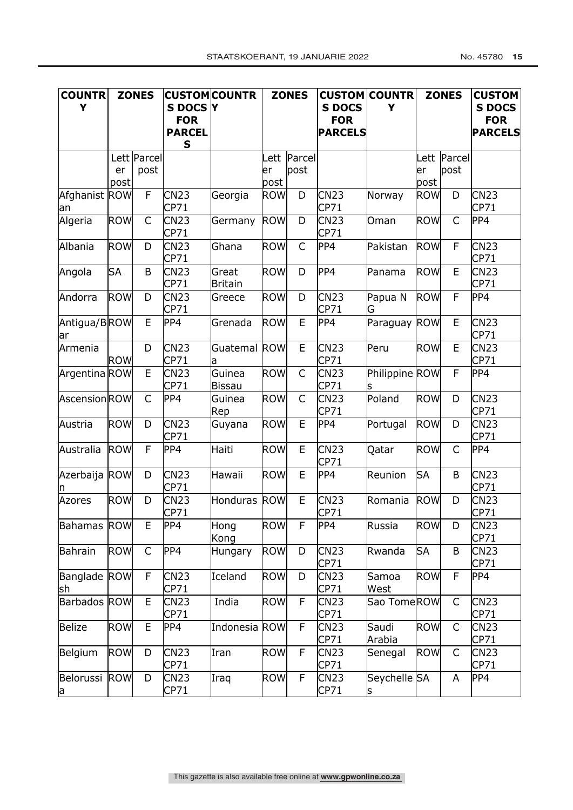| <b>COUNTR</b><br>Y     | <b>ZONES</b> |                     | S DOCS <sub>I</sub> Y<br><b>FOR</b><br><b>PARCEL</b><br>S | <b>CUSTOM COUNTR</b>    | <b>ZONES</b>       |                     | <b>S DOCS</b><br><b>FOR</b><br><b>PARCELS</b> | <b>CUSTOM COUNTR</b><br>Y | <b>ZONES</b>       |                     | <b>CUSTOM</b><br><b>S DOCS</b><br><b>FOR</b><br><b>PARCELS</b> |
|------------------------|--------------|---------------------|-----------------------------------------------------------|-------------------------|--------------------|---------------------|-----------------------------------------------|---------------------------|--------------------|---------------------|----------------------------------------------------------------|
|                        | er           | Lett Parcel<br>post |                                                           |                         | er                 | Lett Parcel<br>post |                                               |                           | er                 | Lett Parcel<br>post |                                                                |
| Afghanist ROW<br>an    | post         | $\mathsf F$         | CN23<br>CP71                                              | Georgia                 | post<br><b>ROW</b> | D                   | CN23<br>CP71                                  | Norway                    | post<br><b>ROW</b> | D                   | CN23<br>CP71                                                   |
| Algeria                | <b>ROW</b>   | $\mathsf{C}$        | CN23<br>CP71                                              | Germany                 | <b>ROW</b>         | D                   | CN <sub>23</sub><br>CP71                      | Oman                      | ROW                | $\mathsf C$         | PP4                                                            |
| Albania                | ROW          | D                   | CN <sub>23</sub><br>CP71                                  | Ghana                   | <b>ROW</b>         | $\mathsf{C}$        | PP4                                           | Pakistan                  | ROW                | F                   | CN23<br>CP71                                                   |
| Angola                 | <b>SA</b>    | B                   | <b>CN23</b><br>CP71                                       | Great<br><b>Britain</b> | <b>ROW</b>         | D                   | PP4                                           | Panama                    | <b>ROW</b>         | E                   | <b>CN23</b><br>CP71                                            |
| Andorra                | <b>ROW</b>   | D                   | CN <sub>23</sub><br>CP71                                  | Greece                  | <b>ROW</b>         | D                   | CN <sub>23</sub><br>CP71                      | Papua N<br>G              | <b>ROW</b>         | F                   | PP4                                                            |
| Antigua/BROW<br>ar     |              | E                   | PP4                                                       | Grenada                 | <b>ROW</b>         | E                   | PP4                                           | Paraguay ROW              |                    | E                   | CN23<br>CP71                                                   |
| Armenia                | <b>ROW</b>   | D                   | CN23<br>CP71                                              | Guatemal ROW<br>а       |                    | E                   | CN <sub>23</sub><br>CP71                      | Peru                      | ROW                | E                   | CN23<br>CP71                                                   |
| Argentina ROW          |              | E                   | CN <sub>23</sub><br>CP71                                  | Guinea<br>Bissau        | <b>ROW</b>         | $\mathsf{C}$        | CN23<br>CP71                                  | Philippine ROW            |                    | F                   | PP4                                                            |
| Ascension ROW          |              | $\mathsf{C}$        | PP4                                                       | Guinea<br>Rep           | <b>ROW</b>         | $\mathsf{C}$        | <b>CN23</b><br>CP71                           | Poland                    | ROW                | D                   | CN23<br>CP71                                                   |
| Austria                | <b>ROW</b>   | D                   | CN <sub>23</sub><br>CP71                                  | Guyana                  | <b>ROW</b>         | E                   | PP4                                           | Portugal                  | <b>ROW</b>         | D                   | CN23<br><b>CP71</b>                                            |
| Australia              | <b>ROW</b>   | F                   | PP4                                                       | Haiti                   | <b>ROW</b>         | E                   | CN <sub>23</sub><br><b>CP71</b>               | Qatar                     | <b>ROW</b>         | C                   | PP4                                                            |
| Azerbaija ROW          |              | D                   | CN23<br>CP71                                              | Hawaii                  | <b>ROW</b>         | E                   | PP4                                           | Reunion                   | <b>SA</b>          | B                   | CN23<br>CP71                                                   |
| <b>Azores</b>          | ROW          | D                   | <b>CN23</b><br>CP71                                       | Honduras                | <b>ROW</b>         | E                   | CN <sub>23</sub><br>CP71                      | Romania                   | <b>ROW</b>         | D                   | <b>CN23</b><br>CP71                                            |
| <b>Bahamas</b>         | <b>ROW</b>   | E                   | PP4                                                       | Hong<br>Kong            | <b>ROW</b>         | F                   | PP4                                           | Russia                    | <b>ROW</b>         | D                   | <b>CN23</b><br>CP71                                            |
| <b>Bahrain</b>         | <b>ROW</b>   | $\mathsf{C}$        | PP4                                                       | Hungary                 | <b>ROW</b>         | D                   | CN <sub>23</sub><br>CP71                      | Rwanda                    | <b>SA</b>          | B                   | CN23<br>CP71                                                   |
| Banglade ROW<br>sh     |              | $\mathsf F$         | <b>CN23</b><br>CP71                                       | Iceland                 | <b>ROW</b>         | D                   | <b>CN23</b><br>CP71                           | Samoa<br>West             | ROW                | $\overline{F}$      | PP4                                                            |
| Barbados ROW           |              | $\mathsf E$         | CN <sub>23</sub><br>CP71                                  | India                   | <b>ROW</b>         | $\mathsf F$         | CN <sub>23</sub><br>CP71                      | Sao TomeROW               |                    | $\mathsf{C}$        | CN23<br>CP71                                                   |
| <b>Belize</b>          | <b>ROW</b>   | $\mathsf E$         | PP4                                                       | Indonesia ROW           |                    | F                   | <b>CN23</b><br>CP71                           | Saudi<br>Arabia           | <b>ROW</b>         | $\mathsf C$         | <b>CN23</b><br>CP71                                            |
| Belgium                | <b>ROW</b>   | D                   | <b>CN23</b><br>CP71                                       | Iran                    | <b>ROW</b>         | F                   | <b>CN23</b><br>CP71                           | Senegal                   | <b>ROW</b>         | C                   | CN23<br>CP71                                                   |
| Belorussi<br><u>la</u> | <b>ROW</b>   | D                   | CN23<br>CP71                                              | Iraq                    | <b>ROW</b>         | $\mathsf F$         | CN <sub>23</sub><br>CP71                      | Seychelle SA<br>S         |                    | Α                   | PP4                                                            |